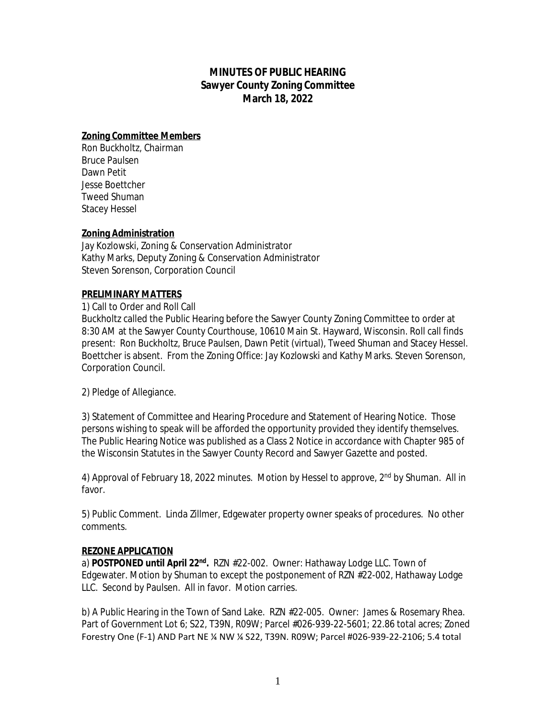# **MINUTES OF PUBLIC HEARING Sawyer County Zoning Committee March 18, 2022**

### **Zoning Committee Members**

Ron Buckholtz, Chairman Bruce Paulsen Dawn Petit Jesse Boettcher Tweed Shuman Stacey Hessel

## **Zoning Administration**

Jay Kozlowski, Zoning & Conservation Administrator Kathy Marks, Deputy Zoning & Conservation Administrator Steven Sorenson, Corporation Council

### **PRELIMINARY MATTERS**

#### 1) Call to Order and Roll Call

Buckholtz called the Public Hearing before the Sawyer County Zoning Committee to order at 8:30 AM at the Sawyer County Courthouse, 10610 Main St. Hayward, Wisconsin. Roll call finds present: Ron Buckholtz, Bruce Paulsen, Dawn Petit (virtual), Tweed Shuman and Stacey Hessel. Boettcher is absent. From the Zoning Office: Jay Kozlowski and Kathy Marks. Steven Sorenson, Corporation Council.

2) Pledge of Allegiance.

3) Statement of Committee and Hearing Procedure and Statement of Hearing Notice. Those persons wishing to speak will be afforded the opportunity provided they identify themselves. The Public Hearing Notice was published as a Class 2 Notice in accordance with Chapter 985 of the Wisconsin Statutes in the Sawyer County Record and Sawyer Gazette and posted.

4) Approval of February 18, 2022 minutes. Motion by Hessel to approve, 2<sup>nd</sup> by Shuman. All in favor.

5) Public Comment. Linda Zillmer, Edgewater property owner speaks of procedures. No other comments.

#### **REZONE APPLICATION**

a) POSTPONED until April 22<sup>nd</sup>. RZN #22-002. Owner: Hathaway Lodge LLC. Town of Edgewater. Motion by Shuman to except the postponement of RZN #22-002, Hathaway Lodge LLC. Second by Paulsen. All in favor. Motion carries.

b) A Public Hearing in the Town of Sand Lake. RZN #22-005. Owner: James & Rosemary Rhea. Part of Government Lot 6; S22, T39N, R09W; Parcel #026-939-22-5601; 22.86 total acres; Zoned Forestry One (F-1) AND Part NE ¼ NW ¼ S22, T39N. R09W; Parcel #026-939-22-2106; 5.4 total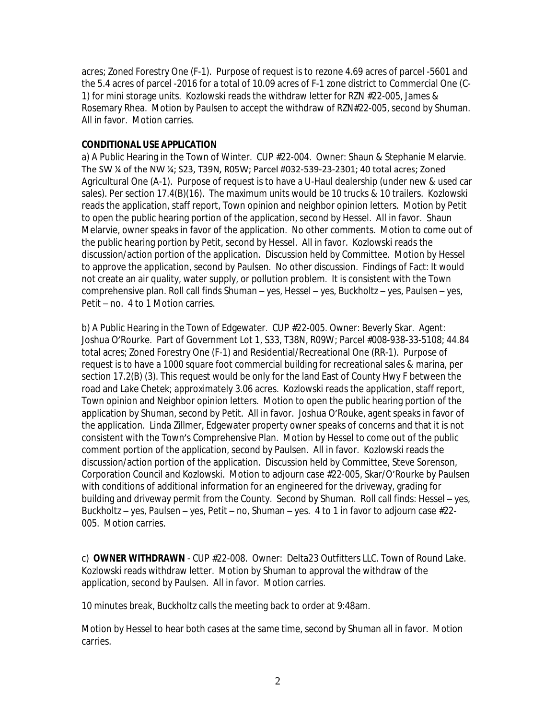acres; Zoned Forestry One (F-1). Purpose of request is to rezone 4.69 acres of parcel -5601 and the 5.4 acres of parcel -2016 for a total of 10.09 acres of F-1 zone district to Commercial One (C-1) for mini storage units. Kozlowski reads the withdraw letter for RZN #22-005, James & Rosemary Rhea. Motion by Paulsen to accept the withdraw of RZN#22-005, second by Shuman. All in favor. Motion carries.

# **CONDITIONAL USE APPLICATION**

a) A Public Hearing in the Town of Winter. CUP #22-004. Owner: Shaun & Stephanie Melarvie. The SW ¼ of the NW ¼; S23, T39N, R05W; Parcel #032-539-23-2301; 40 total acres; Zoned Agricultural One (A-1). Purpose of request is to have a U-Haul dealership (under new & used car sales). Per section 17.4(B)(16). The maximum units would be 10 trucks & 10 trailers. Kozlowski reads the application, staff report, Town opinion and neighbor opinion letters. Motion by Petit to open the public hearing portion of the application, second by Hessel. All in favor. Shaun Melarvie, owner speaks in favor of the application. No other comments. Motion to come out of the public hearing portion by Petit, second by Hessel. All in favor. Kozlowski reads the discussion/action portion of the application. Discussion held by Committee. Motion by Hessel to approve the application, second by Paulsen. No other discussion. Findings of Fact: It would not create an air quality, water supply, or pollution problem. It is consistent with the Town comprehensive plan. Roll call finds Shuman – yes, Hessel – yes, Buckholtz – yes, Paulsen – yes, Petit – no. 4 to 1 Motion carries.

b) A Public Hearing in the Town of Edgewater. CUP #22-005. Owner: Beverly Skar. Agent: Joshua O'Rourke. Part of Government Lot 1, S33, T38N, R09W; Parcel #008-938-33-5108; 44.84 total acres; Zoned Forestry One (F-1) and Residential/Recreational One (RR-1). Purpose of request is to have a 1000 square foot commercial building for recreational sales & marina, per section 17.2(B) (3). This request would be only for the land East of County Hwy F between the road and Lake Chetek; approximately 3.06 acres. Kozlowski reads the application, staff report, Town opinion and Neighbor opinion letters. Motion to open the public hearing portion of the application by Shuman, second by Petit. All in favor. Joshua O'Rouke, agent speaks in favor of the application. Linda Zillmer, Edgewater property owner speaks of concerns and that it is not consistent with the Town's Comprehensive Plan. Motion by Hessel to come out of the public comment portion of the application, second by Paulsen. All in favor. Kozlowski reads the discussion/action portion of the application. Discussion held by Committee, Steve Sorenson, Corporation Council and Kozlowski. Motion to adjourn case #22-005, Skar/O'Rourke by Paulsen with conditions of additional information for an engineered for the driveway, grading for building and driveway permit from the County. Second by Shuman. Roll call finds: Hessel – yes, Buckholtz – yes, Paulsen – yes, Petit – no, Shuman – yes. 4 to 1 in favor to adjourn case #22- 005. Motion carries.

c) **OWNER WITHDRAWN** - CUP #22-008. Owner: Delta23 Outfitters LLC. Town of Round Lake. Kozlowski reads withdraw letter. Motion by Shuman to approval the withdraw of the application, second by Paulsen. All in favor. Motion carries.

10 minutes break, Buckholtz calls the meeting back to order at 9:48am.

Motion by Hessel to hear both cases at the same time, second by Shuman all in favor. Motion carries.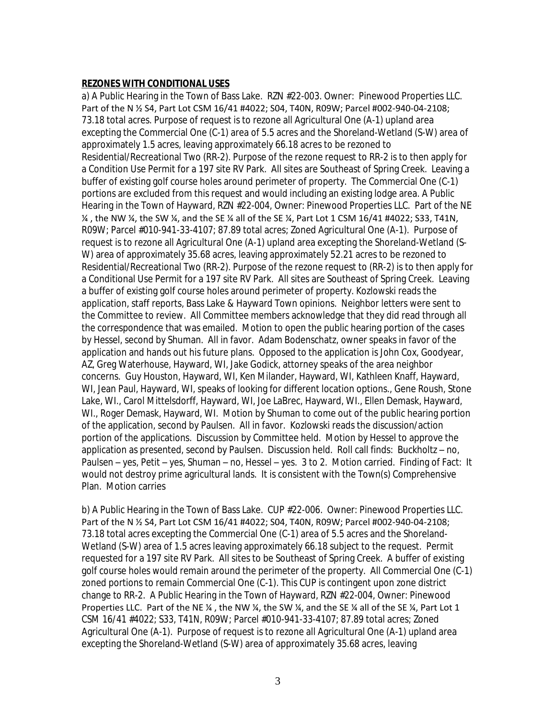### **REZONES WITH CONDITIONAL USES**

a) A Public Hearing in the Town of Bass Lake. RZN #22-003. Owner: Pinewood Properties LLC. Part of the N ½ S4, Part Lot CSM 16/41 #4022; S04, T40N, R09W; Parcel #002-940-04-2108; 73.18 total acres. Purpose of request is to rezone all Agricultural One (A-1) upland area excepting the Commercial One (C-1) area of 5.5 acres and the Shoreland-Wetland (S-W) area of approximately 1.5 acres, leaving approximately 66.18 acres to be rezoned to Residential/Recreational Two (RR-2). Purpose of the rezone request to RR-2 is to then apply for a Condition Use Permit for a 197 site RV Park. All sites are Southeast of Spring Creek. Leaving a buffer of existing golf course holes around perimeter of property. The Commercial One (C-1) portions are excluded from this request and would including an existing lodge area. A Public Hearing in the Town of Hayward, RZN #22-004, Owner: Pinewood Properties LLC. Part of the NE  $\frac{1}{4}$ , the NW  $\frac{1}{4}$ , the SW  $\frac{1}{4}$ , and the SE  $\frac{1}{4}$  all of the SE  $\frac{1}{4}$ , Part Lot 1 CSM 16/41 #4022; S33, T41N, R09W; Parcel #010-941-33-4107; 87.89 total acres; Zoned Agricultural One (A-1). Purpose of request is to rezone all Agricultural One (A-1) upland area excepting the Shoreland-Wetland (S-W) area of approximately 35.68 acres, leaving approximately 52.21 acres to be rezoned to Residential/Recreational Two (RR-2). Purpose of the rezone request to (RR-2) is to then apply for a Conditional Use Permit for a 197 site RV Park. All sites are Southeast of Spring Creek. Leaving a buffer of existing golf course holes around perimeter of property. Kozlowski reads the application, staff reports, Bass Lake & Hayward Town opinions. Neighbor letters were sent to the Committee to review. All Committee members acknowledge that they did read through all the correspondence that was emailed. Motion to open the public hearing portion of the cases by Hessel, second by Shuman. All in favor. Adam Bodenschatz, owner speaks in favor of the application and hands out his future plans. Opposed to the application is John Cox, Goodyear, AZ, Greg Waterhouse, Hayward, WI, Jake Godick, attorney speaks of the area neighbor concerns. Guy Houston, Hayward, WI, Ken Milander, Hayward, WI, Kathleen Knaff, Hayward, WI, Jean Paul, Hayward, WI, speaks of looking for different location options., Gene Roush, Stone Lake, WI., Carol Mittelsdorff, Hayward, WI, Joe LaBrec, Hayward, WI., Ellen Demask, Hayward, WI., Roger Demask, Hayward, WI. Motion by Shuman to come out of the public hearing portion of the application, second by Paulsen. All in favor. Kozlowski reads the discussion/action portion of the applications. Discussion by Committee held. Motion by Hessel to approve the application as presented, second by Paulsen. Discussion held. Roll call finds: Buckholtz – no, Paulsen – yes, Petit – yes, Shuman – no, Hessel – yes. 3 to 2. Motion carried. Finding of Fact: It would not destroy prime agricultural lands. It is consistent with the Town(s) Comprehensive Plan. Motion carries

b) A Public Hearing in the Town of Bass Lake. CUP #22-006. Owner: Pinewood Properties LLC. Part of the N ½ S4, Part Lot CSM 16/41 #4022; S04, T40N, R09W; Parcel #002-940-04-2108; 73.18 total acres excepting the Commercial One (C-1) area of 5.5 acres and the Shoreland-Wetland (S-W) area of 1.5 acres leaving approximately 66.18 subject to the request. Permit requested for a 197 site RV Park. All sites to be Southeast of Spring Creek. A buffer of existing golf course holes would remain around the perimeter of the property. All Commercial One (C-1) zoned portions to remain Commercial One (C-1). This CUP is contingent upon zone district change to RR-2. A Public Hearing in the Town of Hayward, RZN #22-004, Owner: Pinewood Properties LLC. Part of the NE ¼, the NW ¼, the SW ¼, and the SE ¼ all of the SE ¼, Part Lot 1 CSM 16/41 #4022; S33, T41N, R09W; Parcel #010-941-33-4107; 87.89 total acres; Zoned Agricultural One (A-1). Purpose of request is to rezone all Agricultural One (A-1) upland area excepting the Shoreland-Wetland (S-W) area of approximately 35.68 acres, leaving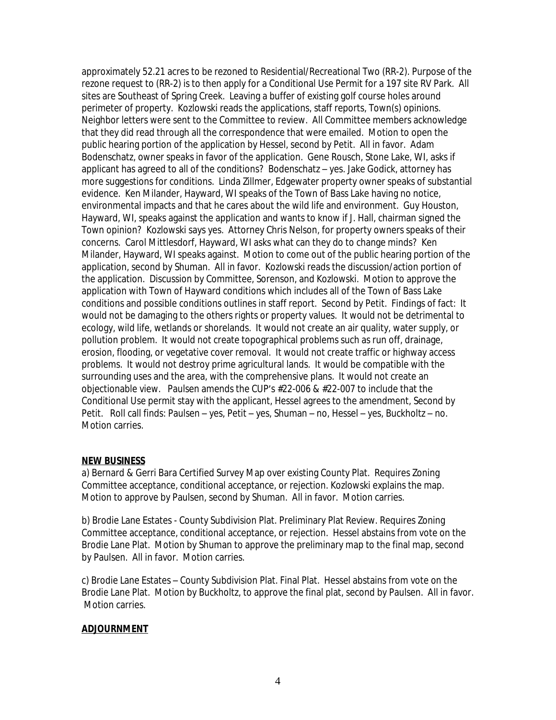approximately 52.21 acres to be rezoned to Residential/Recreational Two (RR-2). Purpose of the rezone request to (RR-2) is to then apply for a Conditional Use Permit for a 197 site RV Park. All sites are Southeast of Spring Creek. Leaving a buffer of existing golf course holes around perimeter of property. Kozlowski reads the applications, staff reports, Town(s) opinions. Neighbor letters were sent to the Committee to review. All Committee members acknowledge that they did read through all the correspondence that were emailed. Motion to open the public hearing portion of the application by Hessel, second by Petit. All in favor. Adam Bodenschatz, owner speaks in favor of the application. Gene Rousch, Stone Lake, WI, asks if applicant has agreed to all of the conditions? Bodenschatz – yes. Jake Godick, attorney has more suggestions for conditions. Linda Zillmer, Edgewater property owner speaks of substantial evidence. Ken Milander, Hayward, WI speaks of the Town of Bass Lake having no notice, environmental impacts and that he cares about the wild life and environment. Guy Houston, Hayward, WI, speaks against the application and wants to know if J. Hall, chairman signed the Town opinion? Kozlowski says yes. Attorney Chris Nelson, for property owners speaks of their concerns. Carol Mittlesdorf, Hayward, WI asks what can they do to change minds? Ken Milander, Hayward, WI speaks against. Motion to come out of the public hearing portion of the application, second by Shuman. All in favor. Kozlowski reads the discussion/action portion of the application. Discussion by Committee, Sorenson, and Kozlowski. Motion to approve the application with Town of Hayward conditions which includes all of the Town of Bass Lake conditions and possible conditions outlines in staff report. Second by Petit. Findings of fact: It would not be damaging to the others rights or property values. It would not be detrimental to ecology, wild life, wetlands or shorelands. It would not create an air quality, water supply, or pollution problem. It would not create topographical problems such as run off, drainage, erosion, flooding, or vegetative cover removal. It would not create traffic or highway access problems. It would not destroy prime agricultural lands. It would be compatible with the surrounding uses and the area, with the comprehensive plans. It would not create an objectionable view. Paulsen amends the CUP's #22-006 & #22-007 to include that the Conditional Use permit stay with the applicant, Hessel agrees to the amendment, Second by Petit. Roll call finds: Paulsen – yes, Petit – yes, Shuman – no, Hessel – yes, Buckholtz – no. Motion carries.

#### **NEW BUSINESS**

a) Bernard & Gerri Bara Certified Survey Map over existing County Plat. Requires Zoning Committee acceptance, conditional acceptance, or rejection. Kozlowski explains the map. Motion to approve by Paulsen, second by Shuman. All in favor. Motion carries.

b) Brodie Lane Estates - County Subdivision Plat. Preliminary Plat Review. Requires Zoning Committee acceptance, conditional acceptance, or rejection. Hessel abstains from vote on the Brodie Lane Plat. Motion by Shuman to approve the preliminary map to the final map, second by Paulsen. All in favor. Motion carries.

c) Brodie Lane Estates – County Subdivision Plat. Final Plat. Hessel abstains from vote on the Brodie Lane Plat. Motion by Buckholtz, to approve the final plat, second by Paulsen. All in favor. Motion carries.

## **ADJOURNMENT**